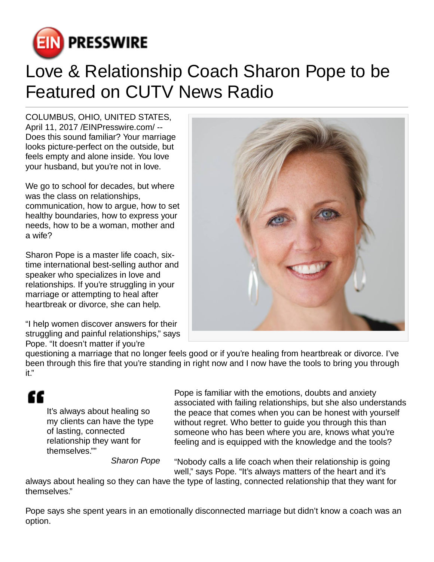

## Love & Relationship Coach Sharon Pope to be Featured on CUTV News Radio

COLUMBUS, OHIO, UNITED STATES, April 11, 2017 /[EINPresswire.com](http://www.einpresswire.com)/ -- Does this sound familiar? Your marriage looks picture-perfect on the outside, but feels empty and alone inside. You love your husband, but you're not in love.

We go to school for decades, but where was the class on relationships, communication, how to argue, how to set healthy boundaries, how to express your needs, how to be a woman, mother and a wife?

Sharon Pope is a master life coach, sixtime international best-selling author and speaker who specializes in love and relationships. If you're struggling in your marriage or attempting to heal after heartbreak or divorce, she can help.

"I help women discover answers for their struggling and painful relationships," says Pope. "It doesn't matter if you're



questioning a marriage that no longer feels good or if you're healing from heartbreak or divorce. I've been through this fire that you're standing in right now and I now have the tools to bring you through it."

## ££

It's always about healing so my clients can have the type of lasting, connected relationship they want for themselves.""

Pope is familiar with the emotions, doubts and anxiety associated with failing relationships, but she also understands the peace that comes when you can be honest with yourself without regret. Who better to guide you through this than someone who has been where you are, knows what you're feeling and is equipped with the knowledge and the tools?

Sharon Pope

"Nobody calls a life coach when their relationship is going well," says Pope. "It's always matters of the heart and it's

always about healing so they can have the type of lasting, connected relationship that they want for themselves."

Pope says she spent years in an emotionally disconnected marriage but didn't know a coach was an option.